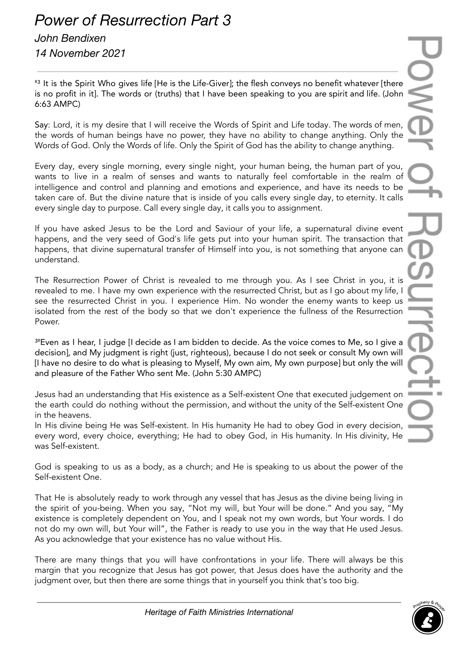## *Power of Resurrection Part 3*

## *John Bendixen 14 November 2021*

<sup>63</sup> It is the Spirit Who gives life [He is the Life-Giver]; the flesh conveys no benefit whatever [there is no profit in it]. The words or (truths) that I have been speaking to you are spirit and life. (John 6:63 AMPC)

Say: Lord, it is my desire that I will receive the Words of Spirit and Life today. The words of men, the words of human beings have no power, they have no ability to change anything. Only the Words of God. Only the Words of life. Only the Spirit of God has the ability to change anything.

Every day, every single morning, every single night, your human being, the human part of you, wants to live in a realm of senses and wants to naturally feel comfortable in the realm of intelligence and control and planning and emotions and experience, and have its needs to be taken care of. But the divine nature that is inside of you calls every single day, to eternity. It calls every single day to purpose. Call every single day, it calls you to assignment.

If you have asked Jesus to be the Lord and Saviour of your life, a supernatural divine event happens, and the very seed of God's life gets put into your human spirit. The transaction that happens, that divine supernatural transfer of Himself into you, is not something that anyone can understand.

The Resurrection Power of Christ is revealed to me through you. As I see Christ in you, it is revealed to me. I have my own experience with the resurrected Christ, but as I go about my life, I see the resurrected Christ in you. I experience Him. No wonder the enemy wants to keep us isolated from the rest of the body so that we don't experience the fullness of the Resurrection Power.

<sup>3º</sup>Even as I hear, I judge [I decide as I am bidden to decide. As the voice comes to Me, so I give a decision], and My judgment is right (just, righteous), because I do not seek or consult My own will [I have no desire to do what is pleasing to Myself, My own aim, My own purpose] but only the will and pleasure of the Father Who sent Me. (John 5:30 AMPC)

Jesus had an understanding that His existence as a Self-existent One that executed judgement on the earth could do nothing without the permission, and without the unity of the Self-existent One in the heavens.

In His divine being He was Self-existent. In His humanity He had to obey God in every decision, every word, every choice, everything; He had to obey God, in His humanity. In His divinity, He was Self-existent.

God is speaking to us as a body, as a church; and He is speaking to us about the power of the Self-existent One.

That He is absolutely ready to work through any vessel that has Jesus as the divine being living in the spirit of you-being. When you say, "Not my will, but Your will be done." And you say, "My existence is completely dependent on You, and I speak not my own words, but Your words. I do not do my own will, but Your will", the Father is ready to use you in the way that He used Jesus. As you acknowledge that your existence has no value without His.

There are many things that you will have confrontations in your life. There will always be this margin that you recognize that Jesus has got power, that Jesus does have the authority and the judgment over, but then there are some things that in yourself you think that's too big.

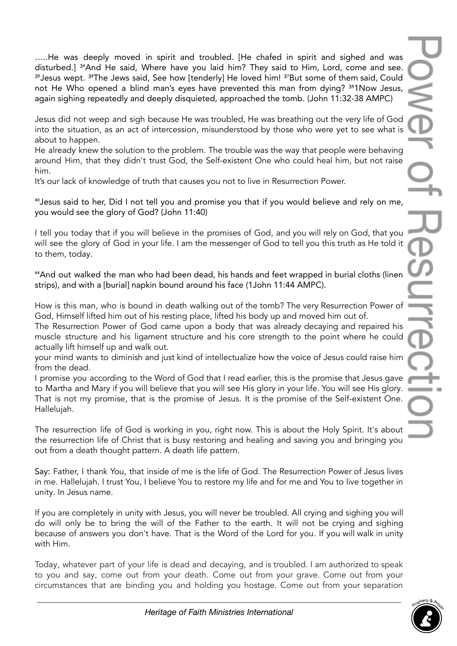…..He was deeply moved in spirit and troubled. [He chafed in spirit and sighed and was disturbed.] <sup>34</sup>And He said, Where have you laid him? They said to Him, Lord, come and see. <sup>35</sup> Jesus wept. <sup>36</sup>The Jews said, See how [tenderly] He loved him! <sup>37</sup>But some of them said, Could not He Who opened a blind man's eyes have prevented this man from dying? <sup>38</sup>1Now Jesus, again sighing repeatedly and deeply disquieted, approached the tomb. (John 11:32-38 AMPC)

Jesus did not weep and sigh because He was troubled, He was breathing out the very life of God into the situation, as an act of intercession, misunderstood by those who were yet to see what is about to happen.

He already knew the solution to the problem. The trouble was the way that people were behaving around Him, that they didn't trust God, the Self-existent One who could heal him, but not raise him.

It's our lack of knowledge of truth that causes you not to live in Resurrection Power.

<sup>40</sup> Jesus said to her, Did I not tell you and promise you that if you would believe and rely on me, you would see the glory of God? (John 11:40)

I tell you today that if you will believe in the promises of God, and you will rely on God, that you will see the glory of God in your life. I am the messenger of God to tell you this truth as He told it to them, today.

<sup>44</sup> And out walked the man who had been dead, his hands and feet wrapped in burial cloths (linen strips), and with a [burial] napkin bound around his face (1John 11:44 AMPC).

How is this man, who is bound in death walking out of the tomb? The very Resurrection Power of God, Himself lifted him out of his resting place, lifted his body up and moved him out of.

The Resurrection Power of God came upon a body that was already decaying and repaired his muscle structure and his ligament structure and his core strength to the point where he could actually lift himself up and walk out.

your mind wants to diminish and just kind of intellectualize how the voice of Jesus could raise him from the dead.

I promise you according to the Word of God that I read earlier, this is the promise that Jesus gave to Martha and Mary if you will believe that you will see His glory in your life. You will see His glory. That is not my promise, that is the promise of Jesus. It is the promise of the Self-existent One. Hallelujah.

The resurrection life of God is working in you, right now. This is about the Holy Spirit. It's about the resurrection life of Christ that is busy restoring and healing and saving you and bringing you out from a death thought pattern. A death life pattern.

Say: Father, I thank You, that inside of me is the life of God. The Resurrection Power of Jesus lives in me. Hallelujah. I trust You, I believe You to restore my life and for me and You to live together in unity. In Jesus name.

If you are completely in unity with Jesus, you will never be troubled. All crying and sighing you will do will only be to bring the will of the Father to the earth. It will not be crying and sighing because of answers you don't have. That is the Word of the Lord for you. If you will walk in unity with Him.

Today, whatever part of your life is dead and decaying, and is troubled. I am authorized to speak to you and say, come out from your death. Come out from your grave. Come out from your circumstances that are binding you and holding you hostage. Come out from your separation